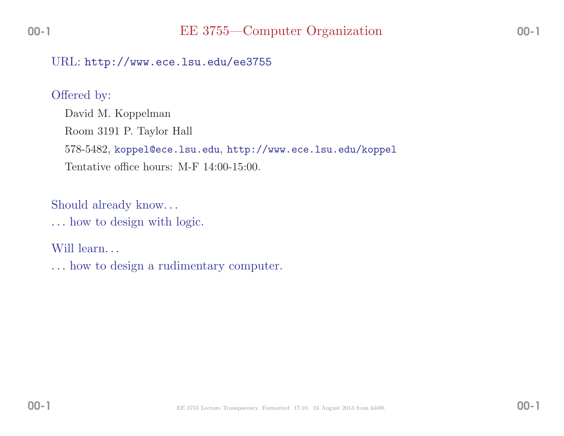### $\rm URL: \, http://www.ece.lsu.edu/ee3755$

#### Offered by:

David M. KoppelmanRoom <sup>3191</sup> P. Taylor Hall 578-5482, koppel@ece.lsu.edu, http://www.ece.lsu.edu/koppelTentative office hours: M-F 14:00-15:00.

Should already know. . .

. . . how to design with logic.

Will learn...

. . . how to design <sup>a</sup> rudimentary computer.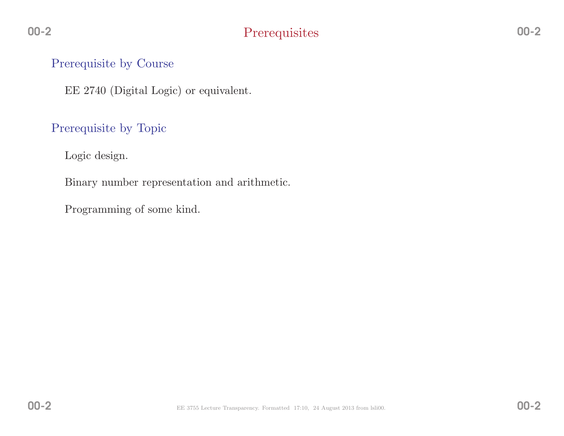# **Prerequisites**

## Prerequisite by Course

EE <sup>2740</sup> (Digital Logic) or equivalent.

## Prerequisite by Topic

Logic design.

Binary number representation and arithmetic.

Programming of some kind.

00-2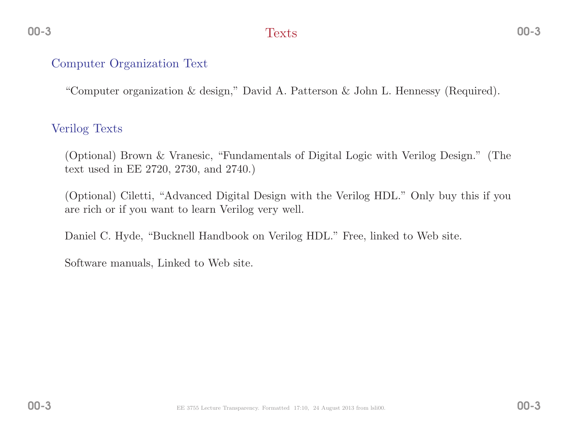# Texts

# Computer Organization Text

"Computer organization & design," David A. Patterson & John L. Hennessy (Required).

## Verilog Texts

(Optional) Brown & Vranesic, "Fundamentals of Digital Logic with Verilog Design." (Thetext used in EE 2720, 2730, and 2740.)

(Optional) Ciletti, "Advanced Digital Design with the Verilog HDL." Only buy this if youare rich or if you want to learn Verilog very well.

Daniel C. Hyde, "Bucknell Handbook on Verilog HDL." Free, linked to Web site.

Software manuals, Linked to Web site.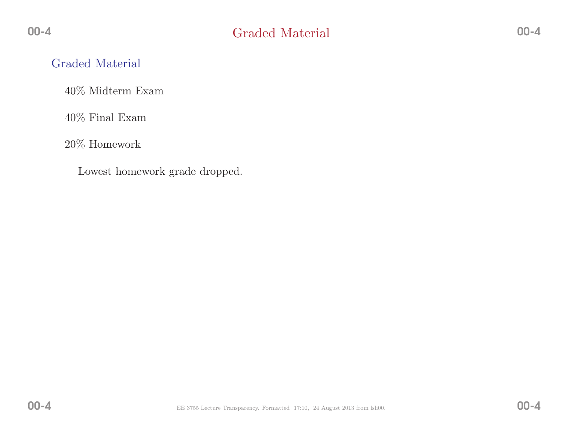# Graded Material

40% Midterm Exam

 $40\%$  Final Exam

20% Homework

Lowest homework grade dropped.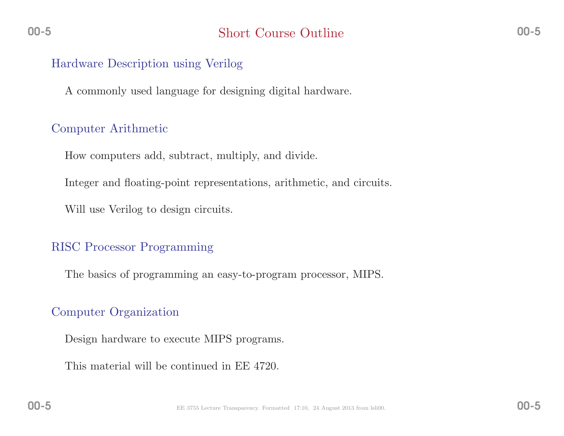### Hardware Description using Verilog

<sup>A</sup> commonly used language for designing digital hardware.

## Computer Arithmetic

How computers add, subtract, multiply, and divide.

Integer and floating-point representations, arithmetic, and circuits.

Will use Verilog to design circuits.

## RISC Processor Programming

The basics of programming an easy-to-program processor, MIPS.

# Computer Organization

Design hardware to execute MIPS programs.

This material will be continued in EE 4720.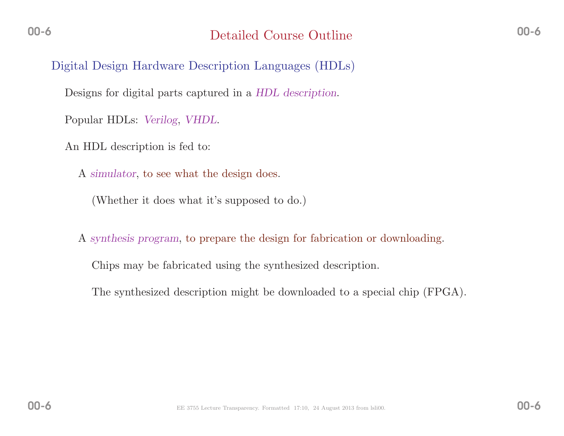Digital Design Hardware Description Languages (HDLs)

Designs for digital parts captured in a  $HDL$  description.

Popular HDLs: Verilog, VHDL.

An HDL description is fed to:

A simulator, to see what the design does.

(Whether it does what it's supposed to do.)

A synthesis program, to prepare the design for fabrication or downloading.

Chips may be fabricated using the synthesized description.

The synthesized description might be downloaded to <sup>a</sup> special chip (FPGA).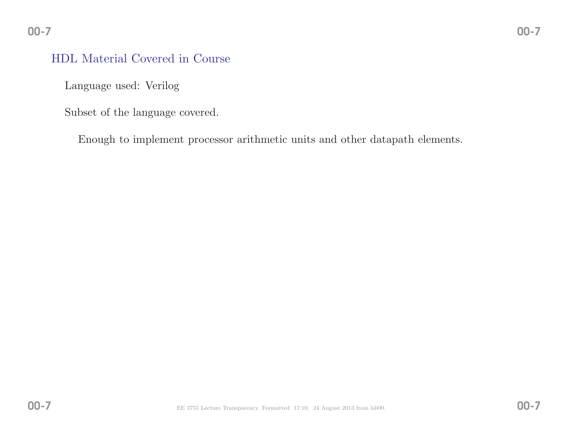# HDL Material Covered in Course

Language used: Verilog

Subset of the language covered.

Enough to implement processor arithmetic units and other datapath elements.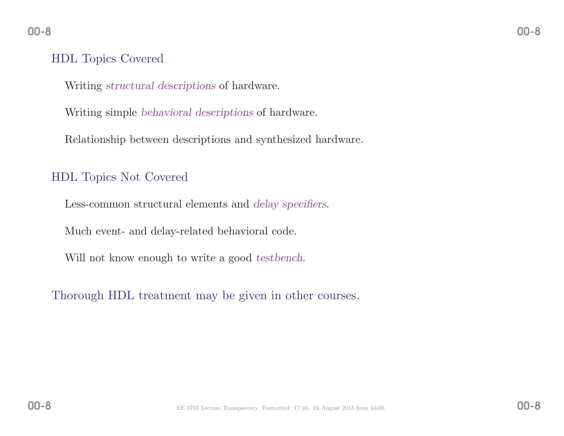# HDL Topics Covered

Writing structural descriptions of hardware.

Writing simple behavioral descriptions of hardware.

Relationship between descriptions and synthesized hardware.

# HDL Topics Not Covered

Less-common structural elements and *delay specifiers*.

Much event- and delay-related behavioral code.

Will not know enough to write a good *testbench*.

Thorough HDL treatment may be <sup>g</sup>iven in other courses.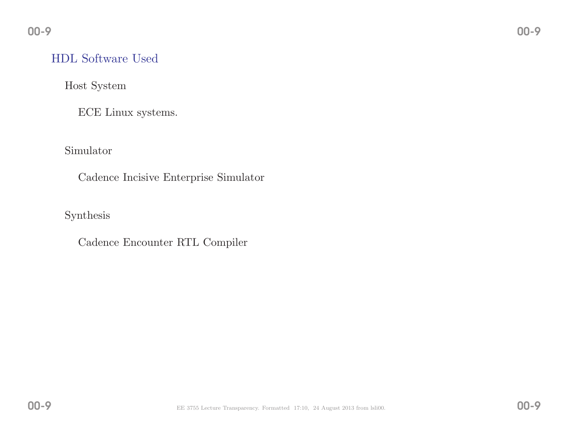# HDL Software Used

Host System

ECE Linux systems.

Simulator

Cadence Incisive Enterprise Simulator

Synthesis

Cadence Encounter RTL Compiler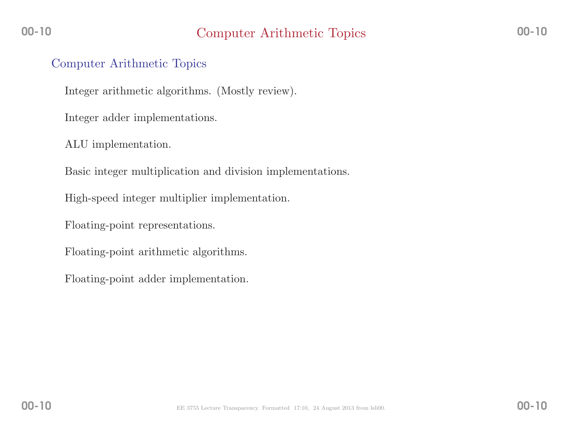### Computer Arithmetic Topics

Integer arithmetic algorithms. (Mostly review).

Integer adder implementations.

ALU implementation.

Basic integer multiplication and division implementations.

High-speed integer multiplier implementation.

Floating-point representations.

Floating-point arithmetic algorithms.

Floating-point adder implementation.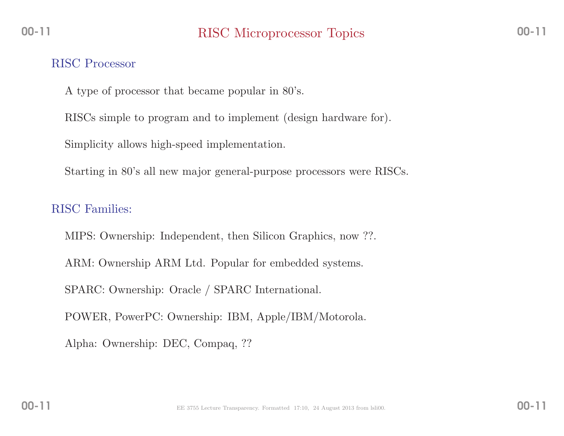#### RISC Processor

<sup>A</sup> type of processor that became popular in 80's.

RISCs simple to program and to implement (design hardware for).

Simplicity allows high-speed implementation.

Starting in 80's all new major general-purpose processors were RISCs.

# RISC Families:

MIPS: Ownership: Independent, then Silicon Graphics, now ??. ARM: Ownership ARM Ltd. Popular for embedded systems. SPARC: Ownership: Oracle / SPARC International. POWER, PowerPC: Ownership: IBM, Apple/IBM/Motorola. Alpha: Ownership: DEC, Compaq, ??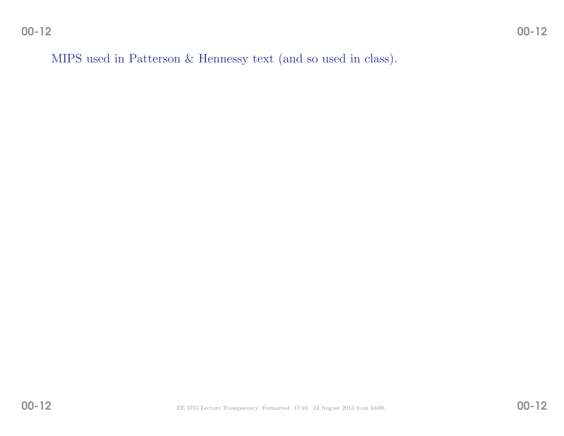00-12

MIPS used in Patterson & Hennessy text (and so used in class).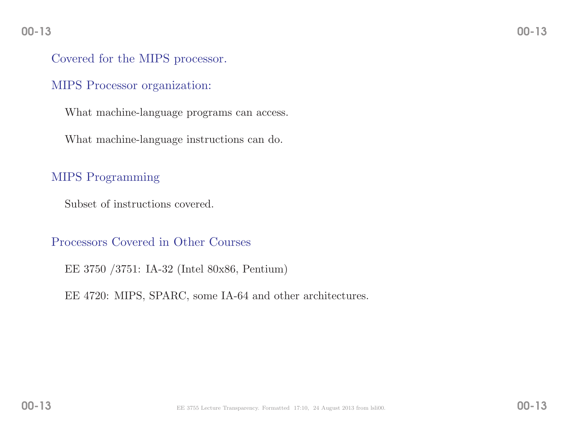#### 00-13

## Covered for the MIPS processor.

#### MIPS Processor organization:

What machine-language programs can access.

What machine-language instructions can do.

# MIPS Programming

Subset of instructions covered.

#### Processors Covered in Other Courses

EE <sup>3750</sup> /3751: IA-32 (Intel 80x86, Pentium)

EE 4720: MIPS, SPARC, some IA-64 and other architectures.